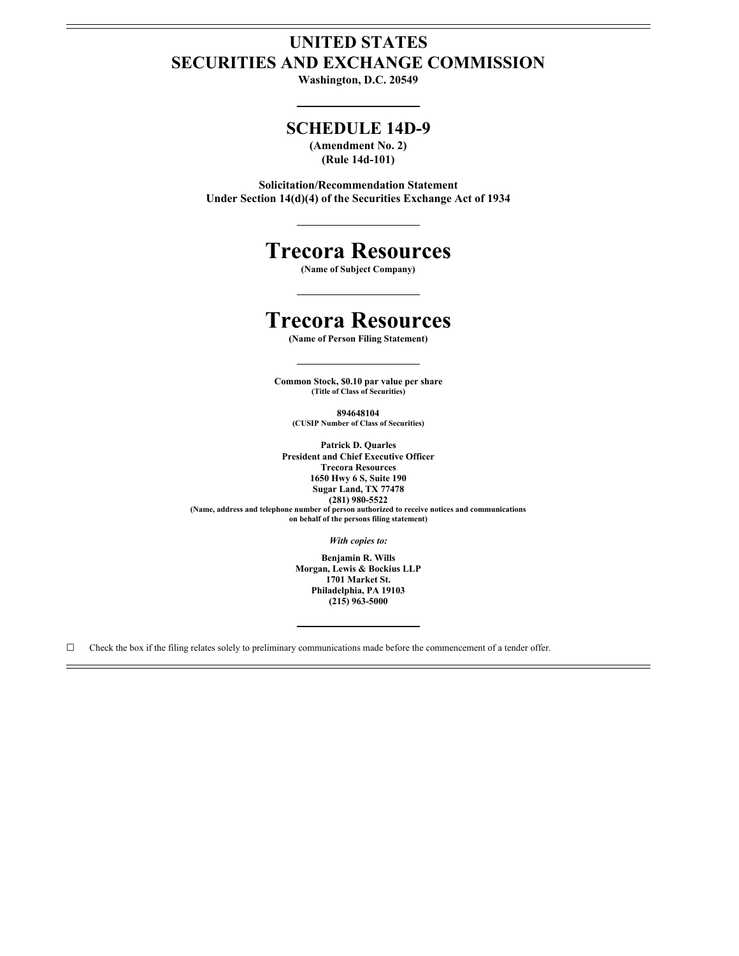## **UNITED STATES SECURITIES AND EXCHANGE COMMISSION**

**Washington, D.C. 20549**

### **SCHEDULE 14D-9**

**(Amendment No. 2) (Rule 14d-101)**

**Solicitation/Recommendation Statement Under Section 14(d)(4) of the Securities Exchange Act of 1934**

# **Trecora Resources**

**(Name of Subject Company)**

# **Trecora Resources**

**(Name of Person Filing Statement)**

**Common Stock, \$0.10 par value per share (Title of Class of Securities)**

**894648104**

**(CUSIP Number of Class of Securities)**

**Patrick D. Quarles President and Chief Executive Officer Trecora Resources 1650 Hwy 6 S, Suite 190 Sugar Land, TX 77478 (281) 980-5522 (Name, address and telephone number of person authorized to receive notices and communications on behalf of the persons filing statement)**

*With copies to:*

**Benjamin R. Wills Morgan, Lewis & Bockius LLP 1701 Market St. Philadelphia, PA 19103 (215) 963-5000**

 $\Box$  Check the box if the filing relates solely to preliminary communications made before the commencement of a tender offer.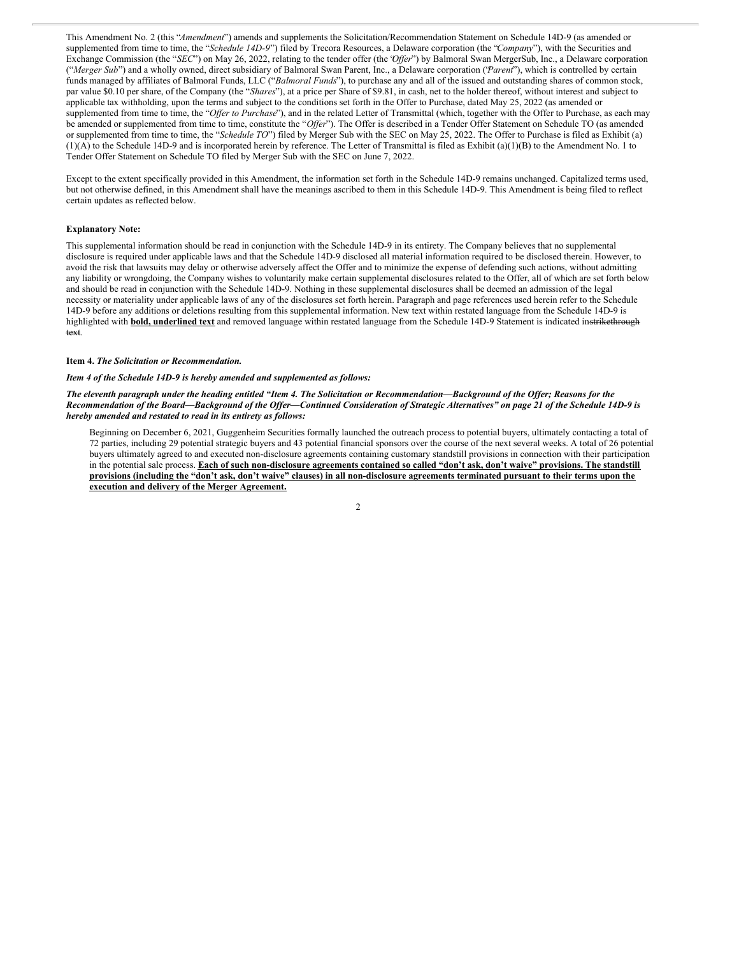This Amendment No. 2 (this "*Amendment*") amends and supplements the Solicitation/Recommendation Statement on Schedule 14D-9 (as amended or supplemented from time to time, the "*Schedule 14D-9*") filed by Trecora Resources, a Delaware corporation (the "*Company*"), with the Securities and Exchange Commission (the "*SEC*") on May 26, 2022, relating to the tender offer (the '*Offer*'') by Balmoral Swan MergerSub, Inc., a Delaware corporation ("*Merger Sub*") and a wholly owned, direct subsidiary of Balmoral Swan Parent, Inc., a Delaware corporation ('*Parent*'), which is controlled by certain funds managed by affiliates of Balmoral Funds, LLC ("*Balmoral Funds*"), to purchase any and all of the issued and outstanding shares of common stock, par value \$0.10 per share, of the Company (the "*Shares*"), at a price per Share of \$9.81, in cash, net to the holder thereof, without interest and subject to applicable tax withholding, upon the terms and subject to the conditions set forth in the Offer to Purchase, dated May 25, 2022 (as amended or supplemented from time to time, the "Offer to Purchase"), and in the related Letter of Transmittal (which, together with the Offer to Purchase, as each may be amended or supplemented from time to time, constitute the "*Offer*"). The Offer is described in a Tender Offer Statement on Schedule TO (as amended or supplemented from time to time, the "*Schedule TO*") filed by Merger Sub with the SEC on May 25, 2022. The Offer to Purchase is filed as Exhibit (a) (1)(A) to the Schedule 14D-9 and is incorporated herein by reference. The Letter of Transmittal is filed as Exhibit (a)(1)(B) to the Amendment No. 1 to Tender Offer Statement on Schedule TO filed by Merger Sub with the SEC on June 7, 2022.

Except to the extent specifically provided in this Amendment, the information set forth in the Schedule 14D-9 remains unchanged. Capitalized terms used, but not otherwise defined, in this Amendment shall have the meanings ascribed to them in this Schedule 14D-9. This Amendment is being filed to reflect certain updates as reflected below.

#### **Explanatory Note:**

This supplemental information should be read in conjunction with the Schedule 14D-9 in its entirety. The Company believes that no supplemental disclosure is required under applicable laws and that the Schedule 14D-9 disclosed all material information required to be disclosed therein. However, to avoid the risk that lawsuits may delay or otherwise adversely affect the Offer and to minimize the expense of defending such actions, without admitting any liability or wrongdoing, the Company wishes to voluntarily make certain supplemental disclosures related to the Offer, all of which are set forth below and should be read in conjunction with the Schedule 14D-9. Nothing in these supplemental disclosures shall be deemed an admission of the legal necessity or materiality under applicable laws of any of the disclosures set forth herein. Paragraph and page references used herein refer to the Schedule 14D-9 before any additions or deletions resulting from this supplemental information. New text within restated language from the Schedule 14D-9 is highlighted with **bold, underlined text** and removed language within restated language from the Schedule 14D-9 Statement is indicated instrikethrough text.

#### **Item 4.** *The Solicitation or Recommendation.*

#### *Item 4 of the Schedule 14D-9 is hereby amended and supplemented as follows:*

The eleventh paragraph under the heading entitled "Item 4. The Solicitation or Recommendation—Background of the Offer; Reasons for the Recommendation of the Board-Background of the Offer-Continued Consideration of Strategic Alternatives" on page 21 of the Schedule 14D-9 is *hereby amended and restated to read in its entirety as follows:*

Beginning on December 6, 2021, Guggenheim Securities formally launched the outreach process to potential buyers, ultimately contacting a total of 72 parties, including 29 potential strategic buyers and 43 potential financial sponsors over the course of the next several weeks. A total of 26 potential buyers ultimately agreed to and executed non-disclosure agreements containing customary standstill provisions in connection with their participation in the potential sale process. Each of such non-disclosure agreements contained so called "don't ask, don't waive" provisions. The standstill provisions (including the "don't ask, don't waive" clauses) in all non-disclosure agreements terminated pursuant to their terms upon the **execution and delivery of the Merger Agreement.**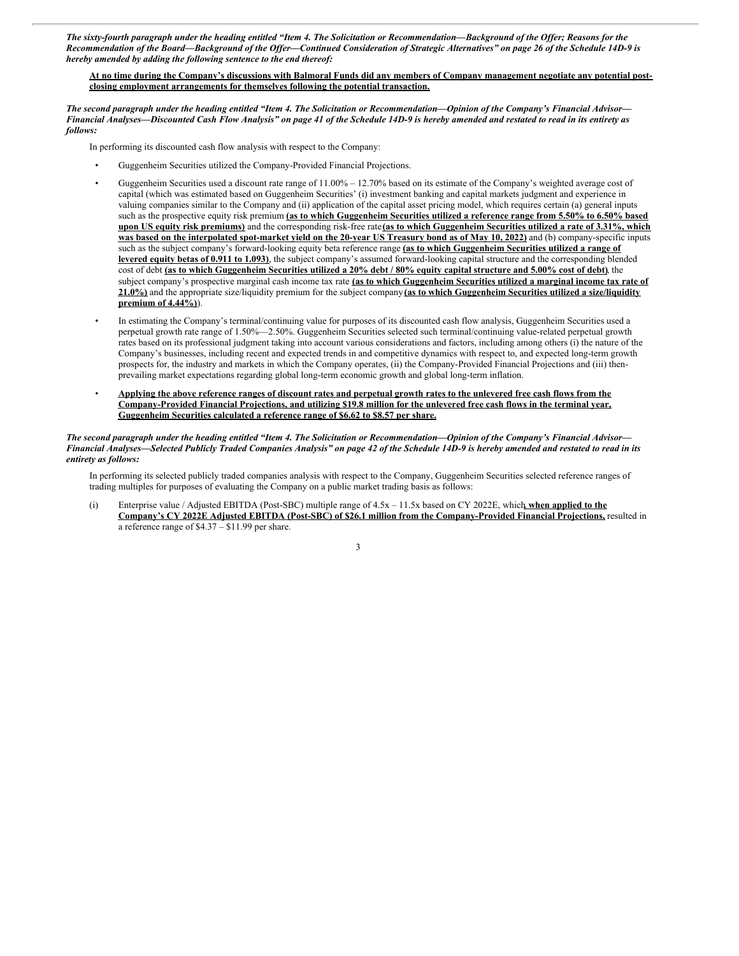The sixty-fourth paragraph under the heading entitled "Item 4. The Solicitation or Recommendation-Background of the Offer; Reasons for the Recommendation of the Board-Background of the Offer-Continued Consideration of Strategic Alternatives" on page 26 of the Schedule 14D-9 is *hereby amended by adding the following sentence to the end thereof:*

At no time during the Company's discussions with Balmoral Funds did any members of Company management negotiate any potential post**closing employment arrangements for themselves following the potential transaction.**

The second paragraph under the heading entitled "Item 4. The Solicitation or Recommendation-Opinion of the Company's Financial Advisor-Financial Analyses—Discounted Cash Flow Analysis" on page 41 of the Schedule 14D-9 is hereby amended and restated to read in its entirety as *follows:*

In performing its discounted cash flow analysis with respect to the Company:

- Guggenheim Securities utilized the Company-Provided Financial Projections.
- Guggenheim Securities used a discount rate range of 11.00% 12.70% based on its estimate of the Company's weighted average cost of capital (which was estimated based on Guggenheim Securities' (i) investment banking and capital markets judgment and experience in valuing companies similar to the Company and (ii) application of the capital asset pricing model, which requires certain (a) general inputs such as the prospective equity risk premium (as to which Guggenheim Securities utilized a reference range from 5.50% to 6.50% based upon US equity risk premiums) and the corresponding risk-free rate (as to which Guggenheim Securities utilized a rate of 3.31%, which was based on the interpolated spot-market yield on the 20-year US Treasury bond as of May 10, 2022) and (b) company-specific inputs such as the subject company's forward-looking equity beta reference range **(as to which Guggenheim Securities utilized a range of levered equity betas of 0.911 to 1.093)**, the subject company's assumed forward-looking capital structure and the corresponding blended cost of debt (as to which Guggenheim Securities utilized a 20% debt / 80% equity capital structure and 5.00% cost of debt), the subject company's prospective marginal cash income tax rate **(as to which Guggenheim Securities utilized a marginal income tax rate of 21.0%)** and the appropriate size/liquidity premium for the subject company **(as to which Guggenheim Securities utilized a size/liquidity premium of 4.44%)**).
- In estimating the Company's terminal/continuing value for purposes of its discounted cash flow analysis, Guggenheim Securities used a perpetual growth rate range of 1.50%—2.50%. Guggenheim Securities selected such terminal/continuing value-related perpetual growth rates based on its professional judgment taking into account various considerations and factors, including among others (i) the nature of the Company's businesses, including recent and expected trends in and competitive dynamics with respect to, and expected long-term growth prospects for, the industry and markets in which the Company operates, (ii) the Company-Provided Financial Projections and (iii) thenprevailing market expectations regarding global long-term economic growth and global long-term inflation.
- Applying the above reference ranges of discount rates and perpetual growth rates to the unlevered free cash flows from the Company-Provided Financial Projections, and utilizing \$19.8 million for the unlevered free cash flows in the terminal year, **Guggenheim Securities calculated a reference range of \$6.62 to \$8.57 per share.**

The second paragraph under the heading entitled "Item 4. The Solicitation or Recommendation-Opinion of the Company's Financial Advisor-Financial Analyses—Selected Publicly Traded Companies Analysis" on page 42 of the Schedule 14D-9 is hereby amended and restated to read in its *entirety as follows:*

In performing its selected publicly traded companies analysis with respect to the Company, Guggenheim Securities selected reference ranges of trading multiples for purposes of evaluating the Company on a public market trading basis as follows:

(i) Enterprise value / Adjusted EBITDA (Post-SBC) multiple range of 4.5x – 11.5x based on CY 2022E, which**, when applied to the Company's CY 2022E Adjusted EBITDA (Post-SBC) of \$26.1 million from the Company-Provided Financial Projections,** resulted in a reference range of \$4.37 – \$11.99 per share.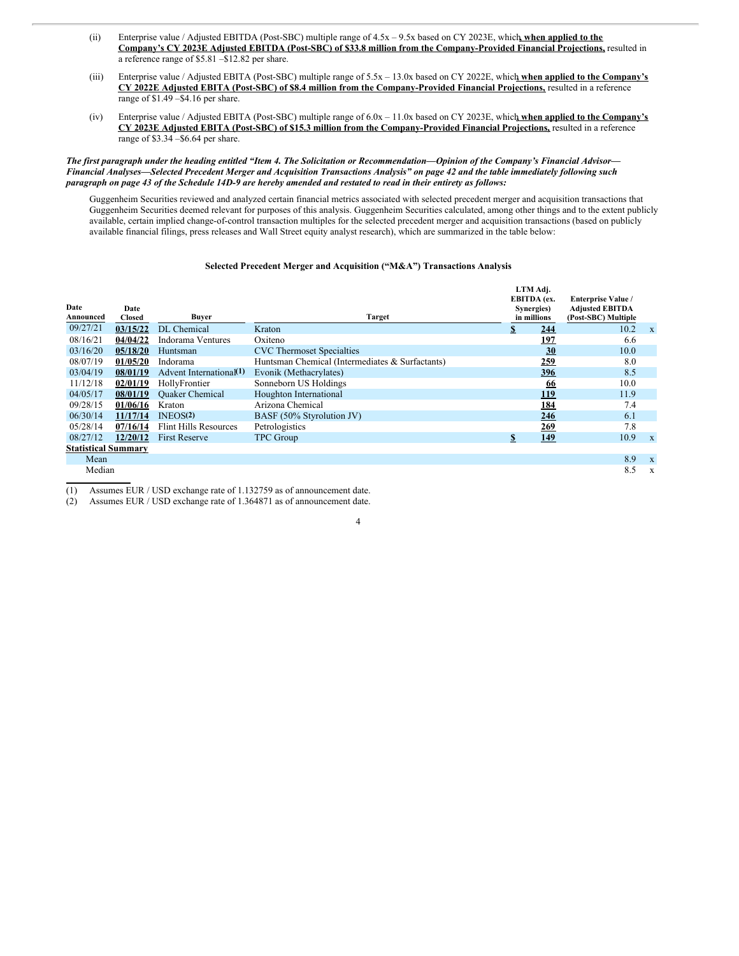- (ii) Enterprise value / Adjusted EBITDA (Post-SBC) multiple range of 4.5x 9.5x based on CY 2023E, which**, when applied to the Company's CY 2023E Adjusted EBITDA (Post-SBC) of \$33.8 million from the Company-Provided Financial Projections,** resulted in a reference range of \$5.81 –\$12.82 per share.
- (iii) Enterprise value / Adjusted EBITA (Post-SBC) multiple range of 5.5x 13.0x based on CY 2022E, which**, when applied to the Company's CY 2022E Adjusted EBITA (Post-SBC) of \$8.4 million from the Company-Provided Financial Projections,** resulted in a reference range of \$1.49 –\$4.16 per share.
- (iv) Enterprise value / Adjusted EBITA (Post-SBC) multiple range of 6.0x 11.0x based on CY 2023E, which**, when applied to the Company's CY 2023E Adjusted EBITA (Post-SBC) of \$15.3 million from the Company-Provided Financial Projections,** resulted in a reference range of \$3.34 –\$6.64 per share.

#### The first paragraph under the heading entitled "Item 4. The Solicitation or Recommendation-Opinion of the Company's Financial Advisor-Financial Analyses—Selected Precedent Merger and Acquisition Transactions Analysis" on page 42 and the table immediately following such paragraph on page 43 of the Schedule 14D-9 are hereby amended and restated to read in their entirety as follows:

Guggenheim Securities reviewed and analyzed certain financial metrics associated with selected precedent merger and acquisition transactions that Guggenheim Securities deemed relevant for purposes of this analysis. Guggenheim Securities calculated, among other things and to the extent publicly available, certain implied change-of-control transaction multiples for the selected precedent merger and acquisition transactions (based on publicly available financial filings, press releases and Wall Street equity analyst research), which are summarized in the table below:

#### **Selected Precedent Merger and Acquisition ("M&A") Transactions Analysis**

| Date<br>Announced          | Date<br><b>Closed</b> | Buyer                        | Target                                          |                | LTM Adj.<br>EBITDA (ex.<br>Synergies)<br>in millions | <b>Enterprise Value /</b><br><b>Adjusted EBITDA</b><br>(Post-SBC) Multiple |              |
|----------------------------|-----------------------|------------------------------|-------------------------------------------------|----------------|------------------------------------------------------|----------------------------------------------------------------------------|--------------|
| 09/27/21                   | 03/15/22              | DL Chemical                  | Kraton                                          | $\overline{2}$ | 244                                                  | 10.2                                                                       | $\mathbf{x}$ |
| 08/16/21                   | 04/04/22              | Indorama Ventures            | Oxiteno                                         |                | <u>197</u>                                           | 6.6                                                                        |              |
| 03/16/20                   | 05/18/20              | Huntsman                     | <b>CVC</b> Thermoset Specialties                |                | 30                                                   | 10.0                                                                       |              |
| 08/07/19                   | 01/05/20              | Indorama                     | Huntsman Chemical (Intermediates & Surfactants) |                | 259                                                  | 8.0                                                                        |              |
| 03/04/19                   | 08/01/19              | Advent International(1)      | Evonik (Methacrylates)                          |                | 396                                                  | 8.5                                                                        |              |
| 11/12/18                   | 02/01/19              | HollyFrontier                | Sonneborn US Holdings                           |                | 66                                                   | 10.0                                                                       |              |
| 04/05/17                   | 08/01/19              | <b>Ouaker Chemical</b>       | Houghton International                          |                | 119                                                  | 11.9                                                                       |              |
| 09/28/15                   | 01/06/16              | Kraton                       | Arizona Chemical                                |                | 184                                                  | 7.4                                                                        |              |
| 06/30/14                   | 11/17/14              | INEOS <sup>(2)</sup>         | BASF (50% Styrolution JV)                       |                | 246                                                  | 6.1                                                                        |              |
| 05/28/14                   | 07/16/14              | <b>Flint Hills Resources</b> | Petrologistics                                  |                | <u>269</u>                                           | 7.8                                                                        |              |
| 08/27/12                   | 12/20/12              | <b>First Reserve</b>         | <b>TPC</b> Group                                | \$             | 149                                                  | 10.9                                                                       | $\mathbf{x}$ |
| <b>Statistical Summary</b> |                       |                              |                                                 |                |                                                      |                                                                            |              |
| Mean                       |                       |                              |                                                 |                |                                                      | 8.9                                                                        | $\mathbf{x}$ |
| Median                     |                       |                              |                                                 |                |                                                      | 8.5                                                                        | $\mathbf{x}$ |

(1) Assumes EUR / USD exchange rate of 1.132759 as of announcement date.

(2) Assumes EUR / USD exchange rate of 1.364871 as of announcement date.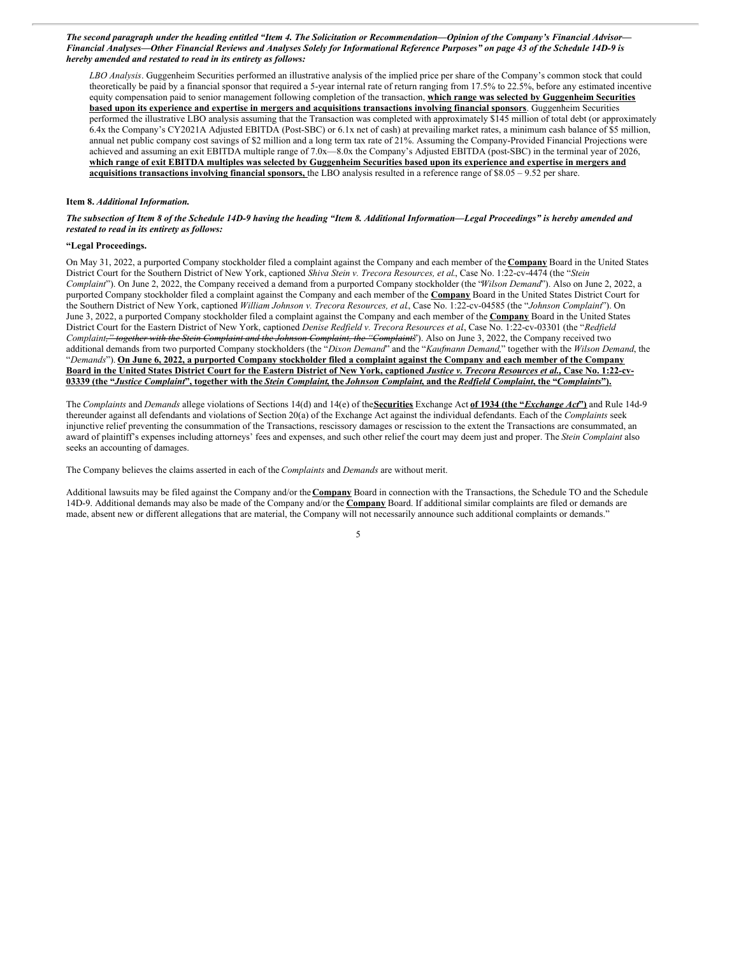The second paragraph under the heading entitled "Item 4. The Solicitation or Recommendation—Opinion of the Company's Financial Advisor— Financial Analyses—Other Financial Reviews and Analyses Solely for Informational Reference Purposes" on page 43 of the Schedule 14D-9 is *hereby amended and restated to read in its entirety as follows:*

*LBO Analysis*. Guggenheim Securities performed an illustrative analysis of the implied price per share of the Company's common stock that could theoretically be paid by a financial sponsor that required a 5-year internal rate of return ranging from 17.5% to 22.5%, before any estimated incentive equity compensation paid to senior management following completion of the transaction, **which range was selected by Guggenheim Securities** based upon its experience and expertise in mergers and acquisitions transactions involving financial sponsors. Guggenheim Securities performed the illustrative LBO analysis assuming that the Transaction was completed with approximately \$145 million of total debt (or approximately 6.4x the Company's CY2021A Adjusted EBITDA (Post-SBC) or 6.1x net of cash) at prevailing market rates, a minimum cash balance of \$5 million, annual net public company cost savings of \$2 million and a long term tax rate of 21%. Assuming the Company-Provided Financial Projections were achieved and assuming an exit EBITDA multiple range of 7.0x—8.0x the Company's Adjusted EBITDA (post-SBC) in the terminal year of 2026, which range of exit EBITDA multiples was selected by Guggenheim Securities based upon its experience and expertise in mergers and **acquisitions transactions involving financial sponsors,** the LBO analysis resulted in a reference range of \$8.05 – 9.52 per share.

#### **Item 8.** *Additional Information.*

The subsection of Item 8 of the Schedule 14D-9 having the heading "Item 8. Additional Information—Legal Proceedings" is hereby amended and *restated to read in its entirety as follows:*

#### **"Legal Proceedings.**

On May 31, 2022, a purported Company stockholder filed a complaint against the Company and each member of the **Company** Board in the United States District Court for the Southern District of New York, captioned *Shiva Stein v. Trecora Resources, et al*., Case No. 1:22-cv-4474 (the "*Stein Complaint*"). On June 2, 2022, the Company received a demand from a purported Company stockholder (the "*Wilson Demand*"). Also on June 2, 2022, a purported Company stockholder filed a complaint against the Company and each member of the **Company** Board in the United States District Court for the Southern District of New York, captioned *William Johnson v. Trecora Resources, et al*., Case No. 1:22-cv-04585 (the "*Johnson Complaint*"). On June 3, 2022, a purported Company stockholder filed a complaint against the Company and each member of the **Company** Board in the United States District Court for the Eastern District of New York, captioned *Denise Redfield v. Trecora Resources et al*., Case No. 1:22-cv-03301 (the "*Redfield Complaint," together with the Stein Complaint and the Johnson Complaint, the "Complaints*"). Also on June 3, 2022, the Company received two additional demands from two purported Company stockholders (the "*Dixon Demand*" and the "*Kaufmann Demand,*" together with the *Wilson Demand*, the "Demands"). On June 6, 2022, a purported Company stockholder filed a complaint against the Company and each member of the Company Board in the United States District Court for the Eastern District of New York, captioned Justice v. Trecora Resources et al., Case No. 1:22-cv-03339 (the "Justice Complaint", together with the Stein Complaint, the Johnson Complaint, and the Redfield Complaint, the "Complaints").

The *Complaints* and *Demands* allege violations of Sections 14(d) and 14(e) of the**Securities** Exchange Act **of 1934 (the "***Exchange Act***")** and Rule 14d-9 thereunder against all defendants and violations of Section 20(a) of the Exchange Act against the individual defendants. Each of the *Complaints* seek injunctive relief preventing the consummation of the Transactions, rescissory damages or rescission to the extent the Transactions are consummated, an award of plaintiff's expenses including attorneys' fees and expenses, and such other relief the court may deem just and proper. The *Stein Complaint* also seeks an accounting of damages.

The Company believes the claims asserted in each of the *Complaints* and *Demands* are without merit.

Additional lawsuits may be filed against the Company and/or the **Company** Board in connection with the Transactions, the Schedule TO and the Schedule 14D-9. Additional demands may also be made of the Company and/or the **Company** Board. If additional similar complaints are filed or demands are made, absent new or different allegations that are material, the Company will not necessarily announce such additional complaints or demands."